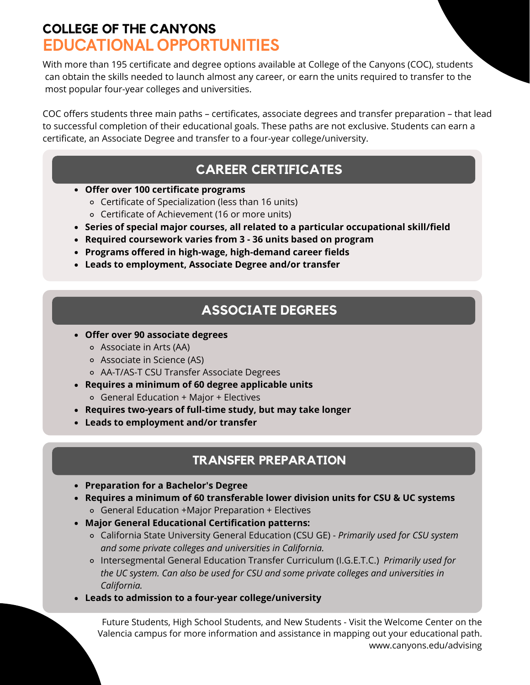## **COLLEGE OF THE CANYONS** EDUCATIONAL OPPORTUNITIES

With more than 195 certificate and degree options available at College of the Canyons (COC), students can obtain the skills needed to launch almost any career, or earn the units required to transfer to the most popular four-year colleges and universities.

COC offers students three main paths – certificates, associate degrees and transfer preparation – that lead to successful completion of their educational goals. These paths are not exclusive. Students can earn a certificate, an Associate Degree and transfer to a four-year college/university.

## **CAREER CERTIFICATES**

- **Offer over 100 certificate programs**
	- Certificate of Specialization (less than 16 units)
	- Certificate of Achievement (16 or more units)
- **Series of special major courses, all related to a particular occupational skill/field**
- **Required coursework varies from 3 36 units based on program**
- **Programs offered in high-wage, high-demand career fields**
- **Leads to employment, Associate Degree and/or transfer**

## **ASSOCIATE DEGREES**

- **Offer over 90 associate degrees**
	- Associate in Arts (AA)
	- Associate in Science (AS)
	- AA-T/AS-T CSU Transfer Associate Degrees
- **Requires a minimum of 60 degree applicable units** General Education + Major + Electives
- **Requires two-years of full-time study, but may take longer**
- **Leads to employment and/or transfer**

### **TRANSFER PREPARATION**

- **Preparation for a Bachelor's Degree**
- **Requires a minimum of 60 transferable lower division units for CSU & UC systems** General Education +Major Preparation + Electives
- **Major General Educational Certification patterns:**
	- California State University General Education (CSU GE) *Primarily used for CSU system and some private colleges and universities in California.*
	- Intersegmental General Education Transfer Curriculum (I.G.E.T.C.) *Primarily used for the UC system. Can also be used for CSU and some private colleges and universities in California.*
- **Leads to admission to a four-year college/university**

Future Students, High School Students, and New Students - Visit the Welcome Center on the Valencia campus for more information and assistance in mapping out your educational path. www.canyons.edu/advising